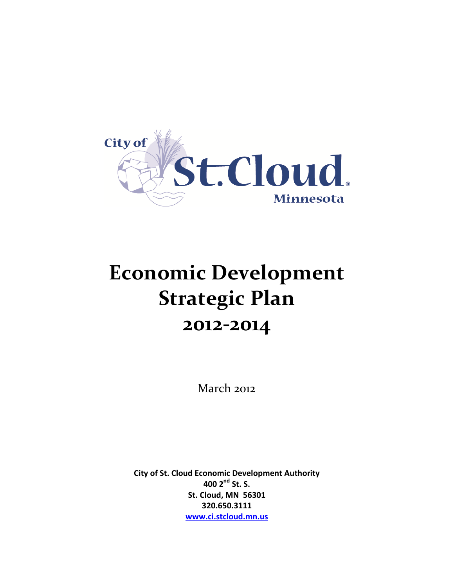

# **Economic Development Strategic Plan 2012-2014**

March 2012

**City of St. Cloud Economic Development Authority 400 2nd St. S. St. Cloud, MN 56301 320.650.3111 [www.ci.stcloud.mn.us](http://www.ci.stcloud.mn.us/)**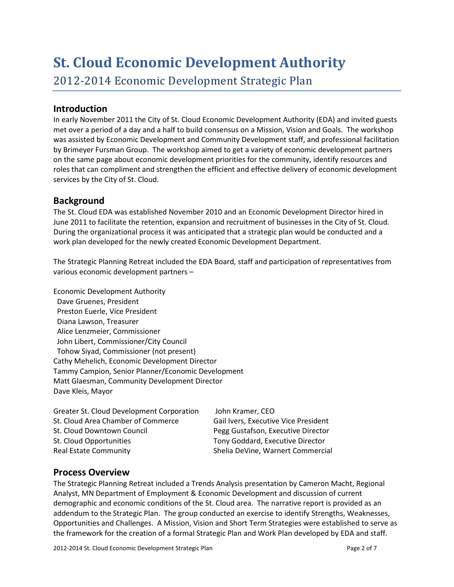# **St. Cloud Economic Development Authority**

2012-2014 Economic Development Strategic Plan

# **Introduction**

In early November 2011 the City of St. Cloud Economic Development Authority (EDA) and invited guests met over a period of a day and a half to build consensus on a Mission, Vision and Goals. The workshop was assisted by Economic Development and Community Development staff, and professional facilitation by Brimeyer Fursman Group. The workshop aimed to get a variety of economic development partners on the same page about economic development priorities for the community, identify resources and roles that can compliment and strengthen the efficient and effective delivery of economic development services by the City of St. Cloud.

# **Background**

The St. Cloud EDA was established November 2010 and an Economic Development Director hired in June 2011 to facilitate the retention, expansion and recruitment of businesses in the City of St. Cloud. During the organizational process it was anticipated that a strategic plan would be conducted and a work plan developed for the newly created Economic Development Department.

The Strategic Planning Retreat included the EDA Board, staff and participation of representatives from various economic development partners –

Economic Development Authority Dave Gruenes, President Preston Euerle, Vice President Diana Lawson, Treasurer Alice Lenzmeier, Commissioner John Libert, Commissioner/City Council Tohow Siyad, Commissioner (not present) Cathy Mehelich, Economic Development Director Tammy Campion, Senior Planner/Economic Development Matt Glaesman, Community Development Director Dave Kleis, Mayor

| Greater St. Cloud Development Corporation | John Kramer, CEO                     |
|-------------------------------------------|--------------------------------------|
| St. Cloud Area Chamber of Commerce        | Gail Ivers, Executive Vice President |
| St. Cloud Downtown Council                | Pegg Gustafson, Executive Director   |
| St. Cloud Opportunities                   | Tony Goddard, Executive Director     |
| <b>Real Estate Community</b>              | Shelia DeVine, Warnert Commercial    |

# **Process Overview**

The Strategic Planning Retreat included a Trends Analysis presentation by Cameron Macht, Regional Analyst, MN Department of Employment & Economic Development and discussion of current demographic and economic conditions of the St. Cloud area. The narrative report is provided as an addendum to the Strategic Plan. The group conducted an exercise to identify Strengths, Weaknesses, Opportunities and Challenges. A Mission, Vision and Short Term Strategies were established to serve as the framework for the creation of a formal Strategic Plan and Work Plan developed by EDA and staff.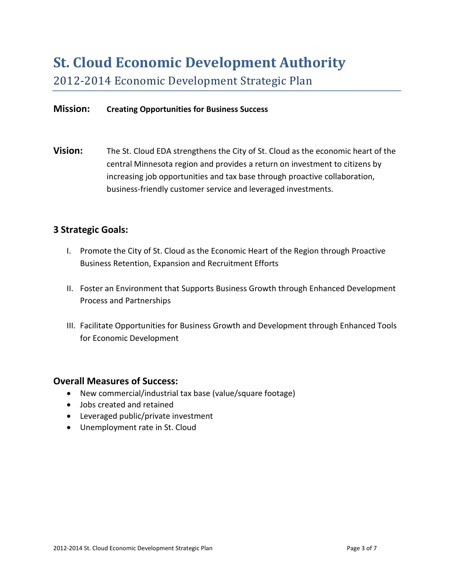# **St. Cloud Economic Development Authority**

2012-2014 Economic Development Strategic Plan

#### **Mission: Creating Opportunities for Business Success**

**Vision:** The St. Cloud EDA strengthens the City of St. Cloud as the economic heart of the central Minnesota region and provides a return on investment to citizens by increasing job opportunities and tax base through proactive collaboration, business-friendly customer service and leveraged investments.

### **3 Strategic Goals:**

- I. Promote the City of St. Cloud as the Economic Heart of the Region through Proactive Business Retention, Expansion and Recruitment Efforts
- II. Foster an Environment that Supports Business Growth through Enhanced Development Process and Partnerships
- III. Facilitate Opportunities for Business Growth and Development through Enhanced Tools for Economic Development

#### **Overall Measures of Success:**

- New commercial/industrial tax base (value/square footage)
- Jobs created and retained
- Leveraged public/private investment
- Unemployment rate in St. Cloud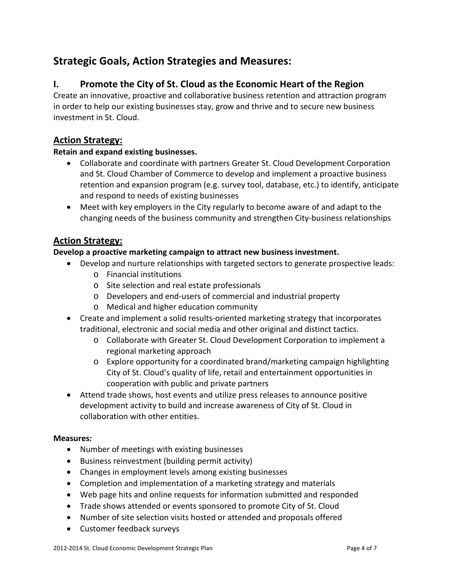# **Strategic Goals, Action Strategies and Measures:**

# **I. Promote the City of St. Cloud as the Economic Heart of the Region**

Create an innovative, proactive and collaborative business retention and attraction program in order to help our existing businesses stay, grow and thrive and to secure new business investment in St. Cloud.

# **Action Strategy:**

#### **Retain and expand existing businesses.**

- Collaborate and coordinate with partners Greater St. Cloud Development Corporation and St. Cloud Chamber of Commerce to develop and implement a proactive business retention and expansion program (e.g. survey tool, database, etc.) to identify, anticipate and respond to needs of existing businesses
- Meet with key employers in the City regularly to become aware of and adapt to the changing needs of the business community and strengthen City-business relationships

# **Action Strategy:**

#### **Develop a proactive marketing campaign to attract new business investment.**

- Develop and nurture relationships with targeted sectors to generate prospective leads:
	- o Financial institutions
	- o Site selection and real estate professionals
	- o Developers and end-users of commercial and industrial property
	- o Medical and higher education community
- Create and implement a solid results-oriented marketing strategy that incorporates traditional, electronic and social media and other original and distinct tactics.
	- o Collaborate with Greater St. Cloud Development Corporation to implement a regional marketing approach
	- o Explore opportunity for a coordinated brand/marketing campaign highlighting City of St. Cloud's quality of life, retail and entertainment opportunities in cooperation with public and private partners
- Attend trade shows, host events and utilize press releases to announce positive development activity to build and increase awareness of City of St. Cloud in collaboration with other entities.

#### **Measures:**

- Number of meetings with existing businesses
- Business reinvestment (building permit activity)
- Changes in employment levels among existing businesses
- Completion and implementation of a marketing strategy and materials
- Web page hits and online requests for information submitted and responded
- Trade shows attended or events sponsored to promote City of St. Cloud
- Number of site selection visits hosted or attended and proposals offered
- Customer feedback surveys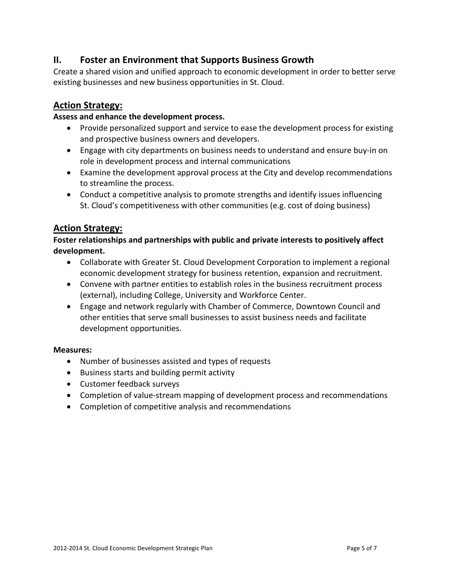# **II. Foster an Environment that Supports Business Growth**

Create a shared vision and unified approach to economic development in order to better serve existing businesses and new business opportunities in St. Cloud.

# **Action Strategy:**

#### **Assess and enhance the development process.**

- Provide personalized support and service to ease the development process for existing and prospective business owners and developers.
- Engage with city departments on business needs to understand and ensure buy-in on role in development process and internal communications
- Examine the development approval process at the City and develop recommendations to streamline the process.
- Conduct a competitive analysis to promote strengths and identify issues influencing St. Cloud's competitiveness with other communities (e.g. cost of doing business)

# **Action Strategy:**

**Foster relationships and partnerships with public and private interests to positively affect development.**

- Collaborate with Greater St. Cloud Development Corporation to implement a regional economic development strategy for business retention, expansion and recruitment.
- Convene with partner entities to establish roles in the business recruitment process (external), including College, University and Workforce Center.
- Engage and network regularly with Chamber of Commerce, Downtown Council and other entities that serve small businesses to assist business needs and facilitate development opportunities.

#### **Measures:**

- Number of businesses assisted and types of requests
- Business starts and building permit activity
- Customer feedback surveys
- Completion of value-stream mapping of development process and recommendations
- Completion of competitive analysis and recommendations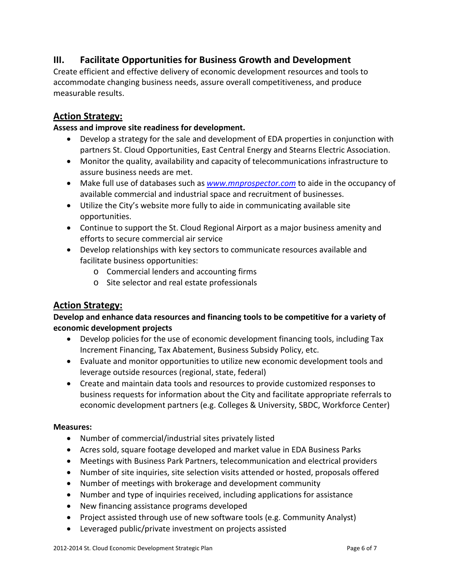# **III. Facilitate Opportunities for Business Growth and Development**

Create efficient and effective delivery of economic development resources and tools to accommodate changing business needs, assure overall competitiveness, and produce measurable results.

# **Action Strategy:**

#### **Assess and improve site readiness for development.**

- Develop a strategy for the sale and development of EDA properties in conjunction with partners St. Cloud Opportunities, East Central Energy and Stearns Electric Association.
- Monitor the quality, availability and capacity of telecommunications infrastructure to assure business needs are met.
- Make full use of databases such as *[www.mnprospector.com](http://www.mnprospector.com/)* to aide in the occupancy of available commercial and industrial space and recruitment of businesses.
- Utilize the City's website more fully to aide in communicating available site opportunities.
- Continue to support the St. Cloud Regional Airport as a major business amenity and efforts to secure commercial air service
- Develop relationships with key sectors to communicate resources available and facilitate business opportunities:
	- o Commercial lenders and accounting firms
	- o Site selector and real estate professionals

# **Action Strategy:**

### **Develop and enhance data resources and financing tools to be competitive for a variety of economic development projects**

- Develop policies for the use of economic development financing tools, including Tax Increment Financing, Tax Abatement, Business Subsidy Policy, etc.
- Evaluate and monitor opportunities to utilize new economic development tools and leverage outside resources (regional, state, federal)
- Create and maintain data tools and resources to provide customized responses to business requests for information about the City and facilitate appropriate referrals to economic development partners (e.g. Colleges & University, SBDC, Workforce Center)

#### **Measures:**

- Number of commercial/industrial sites privately listed
- Acres sold, square footage developed and market value in EDA Business Parks
- Meetings with Business Park Partners, telecommunication and electrical providers
- Number of site inquiries, site selection visits attended or hosted, proposals offered
- Number of meetings with brokerage and development community
- Number and type of inquiries received, including applications for assistance
- New financing assistance programs developed
- Project assisted through use of new software tools (e.g. Community Analyst)
- Leveraged public/private investment on projects assisted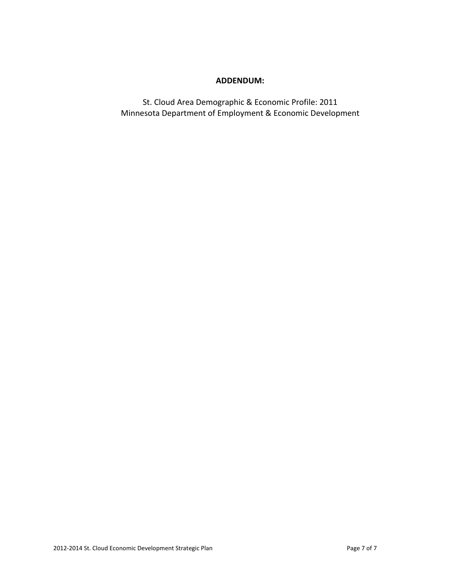#### **ADDENDUM:**

St. Cloud Area Demographic & Economic Profile: 2011 Minnesota Department of Employment & Economic Development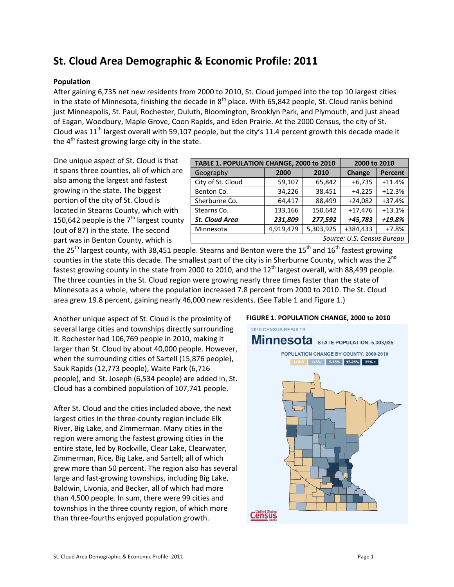# **St. Cloud Area Demographic & Economic Profile: 2011**

#### **Population**

After gaining 6,735 net new residents from 2000 to 2010, St. Cloud jumped into the top 10 largest cities in the state of Minnesota, finishing the decade in  $8^{th}$  place. With 65,842 people, St. Cloud ranks behind just Minneapolis, St. Paul, Rochester, Duluth, Bloomington, Brooklyn Park, and Plymouth, and just ahead of Eagan, Woodbury, Maple Grove, Coon Rapids, and Eden Prairie. At the 2000 Census, the city of St. Cloud was  $11<sup>th</sup>$  largest overall with 59,107 people, but the city's 11.4 percent growth this decade made it the 4<sup>th</sup> fastest growing large city in the state.

One unique aspect of St. Cloud is that it spans three counties, all of which are also among the largest and fastest growing in the state. The biggest portion of the city of St. Cloud is located in Stearns County, which with 150,642 people is the  $7<sup>th</sup>$  largest county (out of 87) in the state. The second part was in Benton County, which is

| TABLE 1. POPULATION CHANGE, 2000 to 2010 | 2000 to 2010 |           |           |                |  |  |  |
|------------------------------------------|--------------|-----------|-----------|----------------|--|--|--|
| Geography                                | 2000         | 2010      | Change    | <b>Percent</b> |  |  |  |
| City of St. Cloud                        | 59,107       | 65,842    | $+6,735$  | $+11.4%$       |  |  |  |
| Benton Co.                               | 34,226       | 38,451    | $+4,225$  | $+12.3%$       |  |  |  |
| Sherburne Co.                            | 64,417       | 88,499    | $+24,082$ | $+37.4%$       |  |  |  |
| Stearns Co.                              | 133,166      | 150,642   | $+17,476$ | $+13.1%$       |  |  |  |
| <b>St. Cloud Area</b>                    | 231,809      | 277,592   | +45,783   | $+19.8%$       |  |  |  |
| Minnesota                                | 4,919,479    | 5,303,925 | +384,433  | $+7.8%$        |  |  |  |
| Source: U.S. Census Bureau               |              |           |           |                |  |  |  |

the 25<sup>th</sup> largest county, with 38,451 people. Stearns and Benton were the 15<sup>th</sup> and 16<sup>th</sup> fastest growing counties in the state this decade. The smallest part of the city is in Sherburne County, which was the 2<sup>nd</sup> fastest growing county in the state from 2000 to 2010, and the 12<sup>th</sup> largest overall, with 88,499 people. The three counties in the St. Cloud region were growing nearly three times faster than the state of Minnesota as a whole, where the population increased 7.8 percent from 2000 to 2010. The St. Cloud area grew 19.8 percent, gaining nearly 46,000 new residents. (See Table 1 and Figure 1.)

Another unique aspect of St. Cloud is the proximity of several large cities and townships directly surrounding it. Rochester had 106,769 people in 2010, making it larger than St. Cloud by about 40,000 people. However, when the surrounding cities of Sartell (15,876 people), Sauk Rapids (12,773 people), Waite Park (6,716 people), and St. Joseph (6,534 people) are added in, St. Cloud has a combined population of 107,741 people.

After St. Cloud and the cities included above, the next largest cities in the three-county region include Elk River, Big Lake, and Zimmerman. Many cities in the region were among the fastest growing cities in the entire state, led by Rockville, Clear Lake, Clearwater, Zimmerman, Rice, Big Lake, and Sartell; all of which grew more than 50 percent. The region also has several large and fast-growing townships, including Big Lake, Baldwin, Livonia, and Becker, all of which had more than 4,500 people. In sum, there were 99 cities and townships in the three county region, of which more than three-fourths enjoyed population growth.

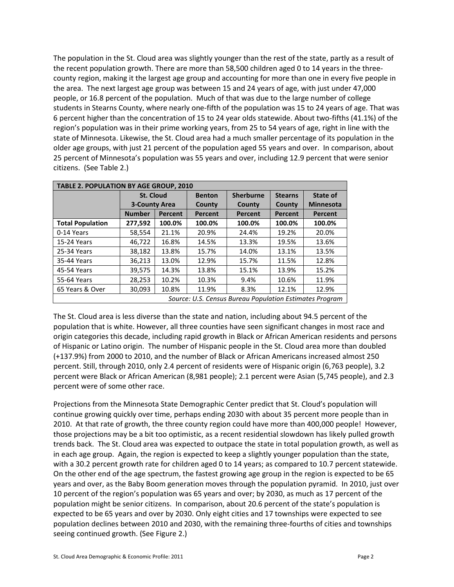The population in the St. Cloud area was slightly younger than the rest of the state, partly as a result of the recent population growth. There are more than 58,500 children aged 0 to 14 years in the threecounty region, making it the largest age group and accounting for more than one in every five people in the area. The next largest age group was between 15 and 24 years of age, with just under 47,000 people, or 16.8 percent of the population. Much of that was due to the large number of college students in Stearns County, where nearly one-fifth of the population was 15 to 24 years of age. That was 6 percent higher than the concentration of 15 to 24 year olds statewide. About two-fifths (41.1%) of the region's population was in their prime working years, from 25 to 54 years of age, right in line with the state of Minnesota. Likewise, the St. Cloud area had a much smaller percentage of its population in the older age groups, with just 21 percent of the population aged 55 years and over. In comparison, about 25 percent of Minnesota's population was 55 years and over, including 12.9 percent that were senior citizens. (See Table 2.)

| <b>TABLE 2. POPULATION BY AGE GROUP, 2010</b> |                      |                |               |                                                         |                |                  |  |  |
|-----------------------------------------------|----------------------|----------------|---------------|---------------------------------------------------------|----------------|------------------|--|--|
|                                               | <b>St. Cloud</b>     |                | <b>Benton</b> | <b>Sherburne</b>                                        | <b>Stearns</b> | State of         |  |  |
|                                               | <b>3-County Area</b> |                | County        | County                                                  | County         | <b>Minnesota</b> |  |  |
|                                               | <b>Number</b>        | <b>Percent</b> | Percent       | <b>Percent</b>                                          | Percent        | <b>Percent</b>   |  |  |
| <b>Total Population</b>                       | 277,592              | 100.0%         | 100.0%        | 100.0%                                                  | 100.0%         | 100.0%           |  |  |
| 0-14 Years                                    | 58,554               | 21.1%          | 20.9%         | 24.4%                                                   | 19.2%          | 20.0%            |  |  |
| 15-24 Years                                   | 46.722               | 16.8%          | 14.5%         | 13.3%                                                   | 19.5%          | 13.6%            |  |  |
| 25-34 Years                                   | 38,182               | 13.8%          | 15.7%         | 14.0%                                                   | 13.1%          | 13.5%            |  |  |
| 35-44 Years                                   | 36,213               | 13.0%          | 12.9%         | 15.7%                                                   | 11.5%          | 12.8%            |  |  |
| 45-54 Years                                   | 39.575               | 14.3%          | 13.8%         | 15.1%                                                   | 13.9%          | 15.2%            |  |  |
| 55-64 Years                                   | 28,253               | 10.2%          | 10.3%         | 9.4%                                                    | 10.6%          | 11.9%            |  |  |
| 65 Years & Over                               | 30,093               | 10.8%          | 11.9%         | 8.3%                                                    | 12.1%          | 12.9%            |  |  |
|                                               |                      |                |               | Source: U.S. Census Bureau Population Estimates Program |                |                  |  |  |

The St. Cloud area is less diverse than the state and nation, including about 94.5 percent of the population that is white. However, all three counties have seen significant changes in most race and origin categories this decade, including rapid growth in Black or African American residents and persons of Hispanic or Latino origin. The number of Hispanic people in the St. Cloud area more than doubled (+137.9%) from 2000 to 2010, and the number of Black or African Americans increased almost 250 percent. Still, through 2010, only 2.4 percent of residents were of Hispanic origin (6,763 people), 3.2 percent were Black or African American (8,981 people); 2.1 percent were Asian (5,745 people), and 2.3 percent were of some other race.

Projections from the Minnesota State Demographic Center predict that St. Cloud's population will continue growing quickly over time, perhaps ending 2030 with about 35 percent more people than in 2010. At that rate of growth, the three county region could have more than 400,000 people! However, those projections may be a bit too optimistic, as a recent residential slowdown has likely pulled growth trends back. The St. Cloud area was expected to outpace the state in total population growth, as well as in each age group. Again, the region is expected to keep a slightly younger population than the state, with a 30.2 percent growth rate for children aged 0 to 14 years; as compared to 10.7 percent statewide. On the other end of the age spectrum, the fastest growing age group in the region is expected to be 65 years and over, as the Baby Boom generation moves through the population pyramid. In 2010, just over 10 percent of the region's population was 65 years and over; by 2030, as much as 17 percent of the population might be senior citizens. In comparison, about 20.6 percent of the state's population is expected to be 65 years and over by 2030. Only eight cities and 17 townships were expected to see population declines between 2010 and 2030, with the remaining three-fourths of cities and townships seeing continued growth. (See Figure 2.)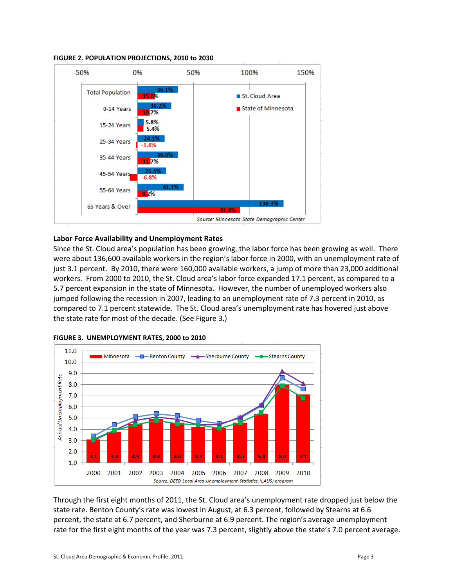

#### **FIGURE 2. POPULATION PROJECTIONS, 2010 to 2030**

#### **Labor Force Availability and Unemployment Rates**

Since the St. Cloud area's population has been growing, the labor force has been growing as well. There were about 136,600 available workers in the region's labor force in 2000, with an unemployment rate of just 3.1 percent. By 2010, there were 160,000 available workers, a jump of more than 23,000 additional workers. From 2000 to 2010, the St. Cloud area's labor force expanded 17.1 percent, as compared to a 5.7 percent expansion in the state of Minnesota. However, the number of unemployed workers also jumped following the recession in 2007, leading to an unemployment rate of 7.3 percent in 2010, as compared to 7.1 percent statewide. The St. Cloud area's unemployment rate has hovered just above the state rate for most of the decade. (See Figure 3.)



**FIGURE 3. UNEMPLOYMENT RATES, 2000 to 2010**

Through the first eight months of 2011, the St. Cloud area's unemployment rate dropped just below the state rate. Benton County's rate was lowest in August, at 6.3 percent, followed by Stearns at 6.6 percent, the state at 6.7 percent, and Sherburne at 6.9 percent. The region's average unemployment rate for the first eight months of the year was 7.3 percent, slightly above the state's 7.0 percent average.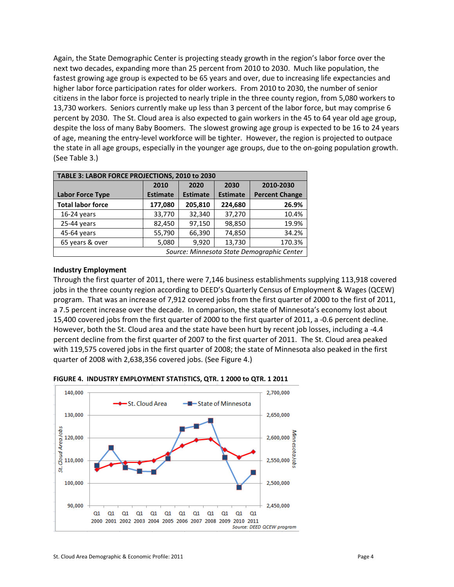Again, the State Demographic Center is projecting steady growth in the region's labor force over the next two decades, expanding more than 25 percent from 2010 to 2030. Much like population, the fastest growing age group is expected to be 65 years and over, due to increasing life expectancies and higher labor force participation rates for older workers. From 2010 to 2030, the number of senior citizens in the labor force is projected to nearly triple in the three county region, from 5,080 workers to 13,730 workers. Seniors currently make up less than 3 percent of the labor force, but may comprise 6 percent by 2030. The St. Cloud area is also expected to gain workers in the 45 to 64 year old age group, despite the loss of many Baby Boomers. The slowest growing age group is expected to be 16 to 24 years of age, meaning the entry-level workforce will be tighter. However, the region is projected to outpace the state in all age groups, especially in the younger age groups, due to the on-going population growth. (See Table 3.)

| TABLE 3: LABOR FORCE PROJECTIONS, 2010 to 2030 |                                   |                 |                 |                       |  |  |  |
|------------------------------------------------|-----------------------------------|-----------------|-----------------|-----------------------|--|--|--|
|                                                | 2010<br>2030<br>2020<br>2010-2030 |                 |                 |                       |  |  |  |
| <b>Labor Force Type</b>                        | <b>Estimate</b>                   | <b>Estimate</b> | <b>Estimate</b> | <b>Percent Change</b> |  |  |  |
| <b>Total labor force</b>                       | 177,080                           | 205,810         | 224,680         | 26.9%                 |  |  |  |
| $16-24$ years                                  | 33,770                            | 32,340          | 37,270          | 10.4%                 |  |  |  |
| 25-44 years                                    | 82,450                            | 97,150          | 98,850          | 19.9%                 |  |  |  |
| 45-64 years                                    | 55,790                            | 66,390          | 74,850          | 34.2%                 |  |  |  |
| 65 years & over                                | 5,080                             | 9,920           | 13,730          | 170.3%                |  |  |  |
| Source: Minnesota State Demographic Center     |                                   |                 |                 |                       |  |  |  |

#### **Industry Employment**

Through the first quarter of 2011, there were 7,146 business establishments supplying 113,918 covered jobs in the three county region according to DEED's Quarterly Census of Employment & Wages (QCEW) program. That was an increase of 7,912 covered jobs from the first quarter of 2000 to the first of 2011, a 7.5 percent increase over the decade. In comparison, the state of Minnesota's economy lost about 15,400 covered jobs from the first quarter of 2000 to the first quarter of 2011, a -0.6 percent decline. However, both the St. Cloud area and the state have been hurt by recent job losses, including a -4.4 percent decline from the first quarter of 2007 to the first quarter of 2011. The St. Cloud area peaked with 119,575 covered jobs in the first quarter of 2008; the state of Minnesota also peaked in the first quarter of 2008 with 2,638,356 covered jobs. (See Figure 4.)



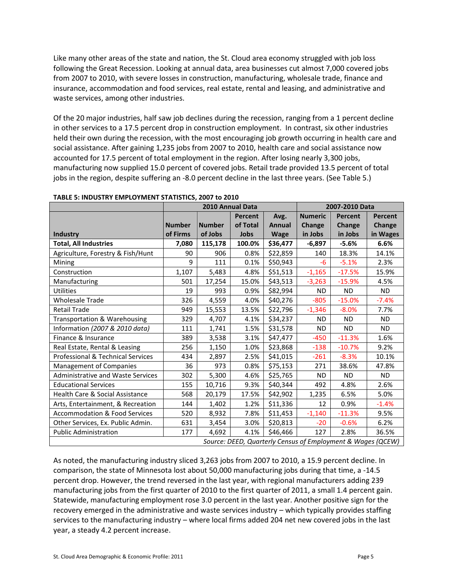Like many other areas of the state and nation, the St. Cloud area economy struggled with job loss following the Great Recession. Looking at annual data, area businesses cut almost 7,000 covered jobs from 2007 to 2010, with severe losses in construction, manufacturing, wholesale trade, finance and insurance, accommodation and food services, real estate, rental and leasing, and administrative and waste services, among other industries.

Of the 20 major industries, half saw job declines during the recession, ranging from a 1 percent decline in other services to a 17.5 percent drop in construction employment. In contrast, six other industries held their own during the recession, with the most encouraging job growth occurring in health care and social assistance. After gaining 1,235 jobs from 2007 to 2010, health care and social assistance now accounted for 17.5 percent of total employment in the region. After losing nearly 3,300 jobs, manufacturing now supplied 15.0 percent of covered jobs. Retail trade provided 13.5 percent of total jobs in the region, despite suffering an -8.0 percent decline in the last three years. (See Table 5.)

|                                            | 2010 Annual Data |               |                |               | 2007-2010 Data |                                                             |               |
|--------------------------------------------|------------------|---------------|----------------|---------------|----------------|-------------------------------------------------------------|---------------|
|                                            |                  |               | <b>Percent</b> | Avg.          | <b>Numeric</b> | <b>Percent</b>                                              | Percent       |
|                                            | <b>Number</b>    | <b>Number</b> | of Total       | <b>Annual</b> | Change         | Change                                                      | <b>Change</b> |
| Industry                                   | of Firms         | of Jobs       | Jobs           | <b>Wage</b>   | in Jobs        | in Jobs                                                     | in Wages      |
| <b>Total, All Industries</b>               | 7,080            | 115,178       | 100.0%         | \$36,477      | $-6,897$       | $-5.6%$                                                     | 6.6%          |
| Agriculture, Forestry & Fish/Hunt          | 90               | 906           | 0.8%           | \$22,859      | 140            | 18.3%                                                       | 14.1%         |
| Mining                                     | 9                | 111           | 0.1%           | \$50,943      | -6             | $-5.1%$                                                     | 2.3%          |
| Construction                               | 1,107            | 5,483         | 4.8%           | \$51,513      | $-1,165$       | $-17.5%$                                                    | 15.9%         |
| Manufacturing                              | 501              | 17,254        | 15.0%          | \$43,513      | $-3,263$       | $-15.9%$                                                    | 4.5%          |
| <b>Utilities</b>                           | 19               | 993           | 0.9%           | \$82,994      | <b>ND</b>      | <b>ND</b>                                                   | ND.           |
| <b>Wholesale Trade</b>                     | 326              | 4,559         | 4.0%           | \$40,276      | $-805$         | $-15.0%$                                                    | $-7.4%$       |
| <b>Retail Trade</b>                        | 949              | 15,553        | 13.5%          | \$22,796      | $-1,346$       | $-8.0%$                                                     | 7.7%          |
| Transportation & Warehousing               | 329              | 4,707         | 4.1%           | \$34,237      | ND.            | <b>ND</b>                                                   | <b>ND</b>     |
| Information (2007 & 2010 data)             | 111              | 1,741         | 1.5%           | \$31,578      | <b>ND</b>      | <b>ND</b>                                                   | <b>ND</b>     |
| Finance & Insurance                        | 389              | 3,538         | 3.1%           | \$47,477      | $-450$         | $-11.3%$                                                    | 1.6%          |
| Real Estate, Rental & Leasing              | 256              | 1,150         | 1.0%           | \$23,868      | $-138$         | $-10.7%$                                                    | 9.2%          |
| Professional & Technical Services          | 434              | 2,897         | 2.5%           | \$41,015      | $-261$         | $-8.3%$                                                     | 10.1%         |
| <b>Management of Companies</b>             | 36               | 973           | 0.8%           | \$75,153      | 271            | 38.6%                                                       | 47.8%         |
| <b>Administrative and Waste Services</b>   | 302              | 5,300         | 4.6%           | \$25,765      | <b>ND</b>      | <b>ND</b>                                                   | <b>ND</b>     |
| <b>Educational Services</b>                | 155              | 10,716        | 9.3%           | \$40,344      | 492            | 4.8%                                                        | 2.6%          |
| <b>Health Care &amp; Social Assistance</b> | 568              | 20,179        | 17.5%          | \$42,902      | 1,235          | 6.5%                                                        | 5.0%          |
| Arts, Entertainment, & Recreation          | 144              | 1,402         | 1.2%           | \$11,336      | 12             | 0.9%                                                        | $-1.4%$       |
| <b>Accommodation &amp; Food Services</b>   | 520              | 8,932         | 7.8%           | \$11,453      | $-1,140$       | $-11.3%$                                                    | 9.5%          |
| Other Services, Ex. Public Admin.          | 631              | 3,454         | 3.0%           | \$20,813      | $-20$          | $-0.6%$                                                     | 6.2%          |
| <b>Public Administration</b>               | 177              | 4,692         | 4.1%           | \$46,466      | 127            | 2.8%                                                        | 36.5%         |
|                                            |                  |               |                |               |                | Source: DEED, Quarterly Census of Employment & Wages (QCEW) |               |

**TABLE 5: INDUSTRY EMPLOYMENT STATISTICS, 2007 to 2010**

As noted, the manufacturing industry sliced 3,263 jobs from 2007 to 2010, a 15.9 percent decline. In comparison, the state of Minnesota lost about 50,000 manufacturing jobs during that time, a -14.5 percent drop. However, the trend reversed in the last year, with regional manufacturers adding 239 manufacturing jobs from the first quarter of 2010 to the first quarter of 2011, a small 1.4 percent gain. Statewide, manufacturing employment rose 3.0 percent in the last year. Another positive sign for the recovery emerged in the administrative and waste services industry – which typically provides staffing services to the manufacturing industry – where local firms added 204 net new covered jobs in the last year, a steady 4.2 percent increase.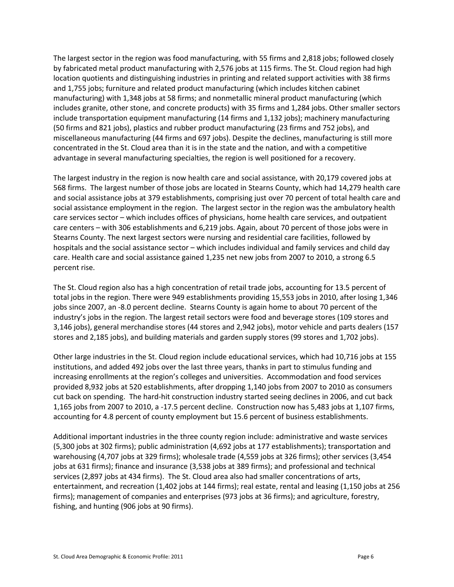The largest sector in the region was food manufacturing, with 55 firms and 2,818 jobs; followed closely by fabricated metal product manufacturing with 2,576 jobs at 115 firms. The St. Cloud region had high location quotients and distinguishing industries in printing and related support activities with 38 firms and 1,755 jobs; furniture and related product manufacturing (which includes kitchen cabinet manufacturing) with 1,348 jobs at 58 firms; and nonmetallic mineral product manufacturing (which includes granite, other stone, and concrete products) with 35 firms and 1,284 jobs. Other smaller sectors include transportation equipment manufacturing (14 firms and 1,132 jobs); machinery manufacturing (50 firms and 821 jobs), plastics and rubber product manufacturing (23 firms and 752 jobs), and miscellaneous manufacturing (44 firms and 697 jobs). Despite the declines, manufacturing is still more concentrated in the St. Cloud area than it is in the state and the nation, and with a competitive advantage in several manufacturing specialties, the region is well positioned for a recovery.

The largest industry in the region is now health care and social assistance, with 20,179 covered jobs at 568 firms. The largest number of those jobs are located in Stearns County, which had 14,279 health care and social assistance jobs at 379 establishments, comprising just over 70 percent of total health care and social assistance employment in the region. The largest sector in the region was the ambulatory health care services sector – which includes offices of physicians, home health care services, and outpatient care centers – with 306 establishments and 6,219 jobs. Again, about 70 percent of those jobs were in Stearns County. The next largest sectors were nursing and residential care facilities, followed by hospitals and the social assistance sector – which includes individual and family services and child day care. Health care and social assistance gained 1,235 net new jobs from 2007 to 2010, a strong 6.5 percent rise.

The St. Cloud region also has a high concentration of retail trade jobs, accounting for 13.5 percent of total jobs in the region. There were 949 establishments providing 15,553 jobs in 2010, after losing 1,346 jobs since 2007, an -8.0 percent decline. Stearns County is again home to about 70 percent of the industry's jobs in the region. The largest retail sectors were food and beverage stores (109 stores and 3,146 jobs), general merchandise stores (44 stores and 2,942 jobs), motor vehicle and parts dealers (157 stores and 2,185 jobs), and building materials and garden supply stores (99 stores and 1,702 jobs).

Other large industries in the St. Cloud region include educational services, which had 10,716 jobs at 155 institutions, and added 492 jobs over the last three years, thanks in part to stimulus funding and increasing enrollments at the region's colleges and universities. Accommodation and food services provided 8,932 jobs at 520 establishments, after dropping 1,140 jobs from 2007 to 2010 as consumers cut back on spending. The hard-hit construction industry started seeing declines in 2006, and cut back 1,165 jobs from 2007 to 2010, a -17.5 percent decline. Construction now has 5,483 jobs at 1,107 firms, accounting for 4.8 percent of county employment but 15.6 percent of business establishments.

Additional important industries in the three county region include: administrative and waste services (5,300 jobs at 302 firms); public administration (4,692 jobs at 177 establishments); transportation and warehousing (4,707 jobs at 329 firms); wholesale trade (4,559 jobs at 326 firms); other services (3,454 jobs at 631 firms); finance and insurance (3,538 jobs at 389 firms); and professional and technical services (2,897 jobs at 434 firms). The St. Cloud area also had smaller concentrations of arts, entertainment, and recreation (1,402 jobs at 144 firms); real estate, rental and leasing (1,150 jobs at 256 firms); management of companies and enterprises (973 jobs at 36 firms); and agriculture, forestry, fishing, and hunting (906 jobs at 90 firms).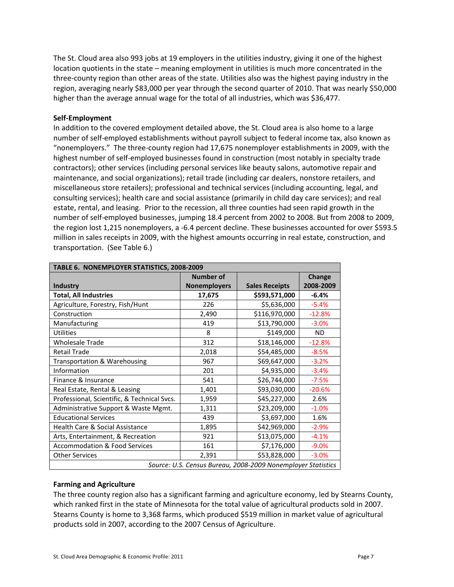The St. Cloud area also 993 jobs at 19 employers in the utilities industry, giving it one of the highest location quotients in the state – meaning employment in utilities is much more concentrated in the three-county region than other areas of the state. Utilities also was the highest paying industry in the region, averaging nearly \$83,000 per year through the second quarter of 2010. That was nearly \$50,000 higher than the average annual wage for the total of all industries, which was \$36,477.

#### **Self-Employment**

In addition to the covered employment detailed above, the St. Cloud area is also home to a large number of self-employed establishments without payroll subject to federal income tax, also known as "nonemployers." The three-county region had 17,675 nonemployer establishments in 2009, with the highest number of self-employed businesses found in construction (most notably in specialty trade contractors); other services (including personal services like beauty salons, automotive repair and maintenance, and social organizations); retail trade (including car dealers, nonstore retailers, and miscellaneous store retailers); professional and technical services (including accounting, legal, and consulting services); health care and social assistance (primarily in child day care services); and real estate, rental, and leasing. Prior to the recession, all three counties had seen rapid growth in the number of self-employed businesses, jumping 18.4 percent from 2002 to 2008. But from 2008 to 2009, the region lost 1,215 nonemployers, a -6.4 percent decline. These businesses accounted for over \$593.5 million in sales receipts in 2009, with the highest amounts occurring in real estate, construction, and transportation. (See Table 6.)

| TABLE 6. NONEMPLOYER STATISTICS, 2008-2009  |                     |                                                              |           |  |  |  |  |
|---------------------------------------------|---------------------|--------------------------------------------------------------|-----------|--|--|--|--|
|                                             | <b>Number of</b>    |                                                              | Change    |  |  |  |  |
| <b>Industry</b>                             | <b>Nonemployers</b> | <b>Sales Receipts</b>                                        | 2008-2009 |  |  |  |  |
| <b>Total, All Industries</b>                | 17,675              | \$593,571,000                                                | $-6.4%$   |  |  |  |  |
| Agriculture, Forestry, Fish/Hunt            | 226                 | \$5,636,000                                                  | $-5.4%$   |  |  |  |  |
| Construction                                | 2,490               | \$116,970,000                                                | $-12.8%$  |  |  |  |  |
| Manufacturing                               | 419                 | \$13,790,000                                                 | $-3.0%$   |  |  |  |  |
| <b>Utilities</b>                            | 8                   | \$149,000                                                    | ND.       |  |  |  |  |
| <b>Wholesale Trade</b>                      | 312                 | \$18,146,000                                                 | $-12.8%$  |  |  |  |  |
| <b>Retail Trade</b>                         | 2,018               | \$54,485,000                                                 | $-8.5%$   |  |  |  |  |
| Transportation & Warehousing                | 967                 | \$69,647,000                                                 | $-3.2%$   |  |  |  |  |
| Information                                 | 201                 | \$4,935,000                                                  | $-3.4%$   |  |  |  |  |
| Finance & Insurance                         | 541                 | \$26,744,000                                                 | $-7.5%$   |  |  |  |  |
| Real Estate, Rental & Leasing               | 1,401               | \$93,030,000                                                 | $-20.6%$  |  |  |  |  |
| Professional, Scientific, & Technical Svcs. | 1,959               | \$45,227,000                                                 | 2.6%      |  |  |  |  |
| Administrative Support & Waste Mgmt.        | 1,311               | \$23,209,000                                                 | $-1.0%$   |  |  |  |  |
| <b>Educational Services</b>                 | 439                 | \$3,697,000                                                  | 1.6%      |  |  |  |  |
| Health Care & Social Assistance             | 1,895               | \$42,969,000                                                 | $-2.9%$   |  |  |  |  |
| Arts, Entertainment, & Recreation           | 921                 | \$13,075,000                                                 | $-4.1%$   |  |  |  |  |
| <b>Accommodation &amp; Food Services</b>    | 161                 | \$7,176,000                                                  | $-9.0%$   |  |  |  |  |
| <b>Other Services</b>                       | 2,391               | \$53,828,000                                                 | $-3.0%$   |  |  |  |  |
|                                             |                     | Source: U.S. Census Bureau, 2008-2009 Nonemployer Statistics |           |  |  |  |  |

# **Farming and Agriculture**

The three county region also has a significant farming and agriculture economy, led by Stearns County, which ranked first in the state of Minnesota for the total value of agricultural products sold in 2007. Stearns County is home to 3,368 farms, which produced \$519 million in market value of agricultural products sold in 2007, according to the 2007 Census of Agriculture.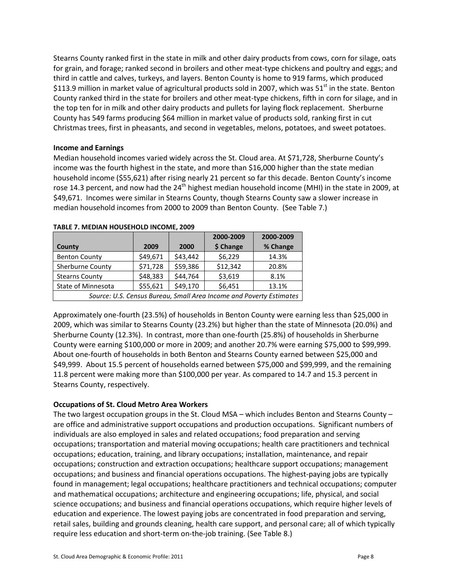Stearns County ranked first in the state in milk and other dairy products from cows, corn for silage, oats for grain, and forage; ranked second in broilers and other meat-type chickens and poultry and eggs; and third in cattle and calves, turkeys, and layers. Benton County is home to 919 farms, which produced \$113.9 million in market value of agricultural products sold in 2007, which was  $51<sup>st</sup>$  in the state. Benton County ranked third in the state for broilers and other meat-type chickens, fifth in corn for silage, and in the top ten for in milk and other dairy products and pullets for laying flock replacement. Sherburne County has 549 farms producing \$64 million in market value of products sold, ranking first in cut Christmas trees, first in pheasants, and second in vegetables, melons, potatoes, and sweet potatoes.

#### **Income and Earnings**

Median household incomes varied widely across the St. Cloud area. At \$71,728, Sherburne County's income was the fourth highest in the state, and more than \$16,000 higher than the state median household income (\$55,621) after rising nearly 21 percent so far this decade. Benton County's income rose 14.3 percent, and now had the  $24<sup>th</sup>$  highest median household income (MHI) in the state in 2009, at \$49,671. Incomes were similar in Stearns County, though Stearns County saw a slower increase in median household incomes from 2000 to 2009 than Benton County. (See Table 7.)

|                                                                     |          |          | 2000-2009 | 2000-2009 |  |  |
|---------------------------------------------------------------------|----------|----------|-----------|-----------|--|--|
| County                                                              | 2009     | 2000     | \$ Change | % Change  |  |  |
| <b>Benton County</b>                                                | \$49,671 | \$43,442 | \$6,229   | 14.3%     |  |  |
| Sherburne County                                                    | \$71,728 | \$59,386 | \$12,342  | 20.8%     |  |  |
| <b>Stearns County</b>                                               | \$48,383 | \$44,764 | \$3,619   | 8.1%      |  |  |
| State of Minnesota                                                  | \$55,621 | \$49,170 | \$6,451   | 13.1%     |  |  |
| Source: U.S. Census Bureau, Small Area Income and Poverty Estimates |          |          |           |           |  |  |

#### **TABLE 7. MEDIAN HOUSEHOLD INCOME, 2009**

Approximately one-fourth (23.5%) of households in Benton County were earning less than \$25,000 in 2009, which was similar to Stearns County (23.2%) but higher than the state of Minnesota (20.0%) and Sherburne County (12.3%). In contrast, more than one-fourth (25.8%) of households in Sherburne County were earning \$100,000 or more in 2009; and another 20.7% were earning \$75,000 to \$99,999. About one-fourth of households in both Benton and Stearns County earned between \$25,000 and \$49,999. About 15.5 percent of households earned between \$75,000 and \$99,999, and the remaining 11.8 percent were making more than \$100,000 per year. As compared to 14.7 and 15.3 percent in Stearns County, respectively.

#### **Occupations of St. Cloud Metro Area Workers**

The two largest occupation groups in the St. Cloud MSA – which includes Benton and Stearns County – are office and administrative support occupations and production occupations. Significant numbers of individuals are also employed in sales and related occupations; food preparation and serving occupations; transportation and material moving occupations; health care practitioners and technical occupations; education, training, and library occupations; installation, maintenance, and repair occupations; construction and extraction occupations; healthcare support occupations; management occupations; and business and financial operations occupations. The highest-paying jobs are typically found in management; legal occupations; healthcare practitioners and technical occupations; computer and mathematical occupations; architecture and engineering occupations; life, physical, and social science occupations; and business and financial operations occupations, which require higher levels of education and experience. The lowest paying jobs are concentrated in food preparation and serving, retail sales, building and grounds cleaning, health care support, and personal care; all of which typically require less education and short-term on-the-job training. (See Table 8.)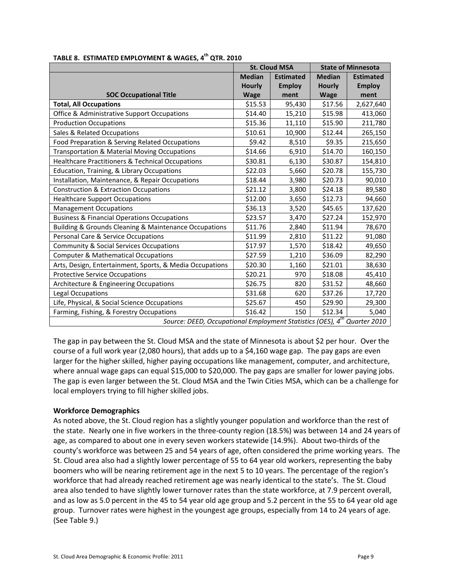|                                                                                      |               | <b>St. Cloud MSA</b> | <b>State of Minnesota</b> |                  |
|--------------------------------------------------------------------------------------|---------------|----------------------|---------------------------|------------------|
|                                                                                      | <b>Median</b> | <b>Estimated</b>     | <b>Median</b>             | <b>Estimated</b> |
|                                                                                      | <b>Hourly</b> | <b>Employ</b>        | <b>Hourly</b>             | <b>Employ</b>    |
| <b>SOC Occupational Title</b>                                                        | <b>Wage</b>   | ment                 | <b>Wage</b>               | ment             |
| <b>Total, All Occupations</b>                                                        | \$15.53       | 95,430               | \$17.56                   | 2,627,640        |
| Office & Administrative Support Occupations                                          | \$14.40       | 15,210               | \$15.98                   | 413,060          |
| <b>Production Occupations</b>                                                        | \$15.36       | 11,110               | \$15.90                   | 211,780          |
| Sales & Related Occupations                                                          | \$10.61       | 10,900               | \$12.44                   | 265,150          |
| Food Preparation & Serving Related Occupations                                       | \$9.42        | 8,510                | \$9.35                    | 215,650          |
| Transportation & Material Moving Occupations                                         | \$14.66       | 6,910                | \$14.70                   | 160,150          |
| Healthcare Practitioners & Technical Occupations                                     | \$30.81       | 6,130                | \$30.87                   | 154,810          |
| Education, Training, & Library Occupations                                           | \$22.03       | 5,660                | \$20.78                   | 155,730          |
| Installation, Maintenance, & Repair Occupations                                      | \$18.44       | 3,980                | \$20.73                   | 90,010           |
| <b>Construction &amp; Extraction Occupations</b>                                     | \$21.12       | 3,800                | \$24.18                   | 89,580           |
| <b>Healthcare Support Occupations</b>                                                | \$12.00       | 3,650                | \$12.73                   | 94,660           |
| <b>Management Occupations</b>                                                        | \$36.13       | 3,520                | \$45.65                   | 137,620          |
| <b>Business &amp; Financial Operations Occupations</b>                               | \$23.57       | 3,470                | \$27.24                   | 152,970          |
| Building & Grounds Cleaning & Maintenance Occupations                                | \$11.76       | 2,840                | \$11.94                   | 78,670           |
| Personal Care & Service Occupations                                                  | \$11.99       | 2,810                | \$11.22                   | 91,080           |
| Community & Social Services Occupations                                              | \$17.97       | 1,570                | \$18.42                   | 49,650           |
| <b>Computer &amp; Mathematical Occupations</b>                                       | \$27.59       | 1,210                | \$36.09                   | 82,290           |
| Arts, Design, Entertainment, Sports, & Media Occupations                             | \$20.30       | 1,160                | \$21.01                   | 38,630           |
| <b>Protective Service Occupations</b>                                                | \$20.21       | 970                  | \$18.08                   | 45,410           |
| Architecture & Engineering Occupations                                               | \$26.75       | 820                  | \$31.52                   | 48,660           |
| Legal Occupations                                                                    | \$31.68       | 620                  | \$37.26                   | 17,720           |
| Life, Physical, & Social Science Occupations                                         | \$25.67       | 450                  | \$29.90                   | 29,300           |
| Farming, Fishing, & Forestry Occupations                                             | \$16.42       | 150                  | \$12.34                   | 5,040            |
| Source: DEED, Occupational Employment Statistics (OES), 4 <sup>th</sup> Quarter 2010 |               |                      |                           |                  |

#### **TABLE 8. ESTIMATED EMPLOYMENT & WAGES, 4 th QTR. 2010**

The gap in pay between the St. Cloud MSA and the state of Minnesota is about \$2 per hour. Over the course of a full work year (2,080 hours), that adds up to a \$4,160 wage gap. The pay gaps are even larger for the higher skilled, higher paying occupations like management, computer, and architecture, where annual wage gaps can equal \$15,000 to \$20,000. The pay gaps are smaller for lower paying jobs. The gap is even larger between the St. Cloud MSA and the Twin Cities MSA, which can be a challenge for local employers trying to fill higher skilled jobs.

#### **Workforce Demographics**

As noted above, the St. Cloud region has a slightly younger population and workforce than the rest of the state. Nearly one in five workers in the three-county region (18.5%) was between 14 and 24 years of age, as compared to about one in every seven workers statewide (14.9%). About two-thirds of the county's workforce was between 25 and 54 years of age, often considered the prime working years. The St. Cloud area also had a slightly lower percentage of 55 to 64 year old workers, representing the baby boomers who will be nearing retirement age in the next 5 to 10 years. The percentage of the region's workforce that had already reached retirement age was nearly identical to the state's. The St. Cloud area also tended to have slightly lower turnover rates than the state workforce, at 7.9 percent overall, and as low as 5.0 percent in the 45 to 54 year old age group and 5.2 percent in the 55 to 64 year old age group. Turnover rates were highest in the youngest age groups, especially from 14 to 24 years of age. (See Table 9.)